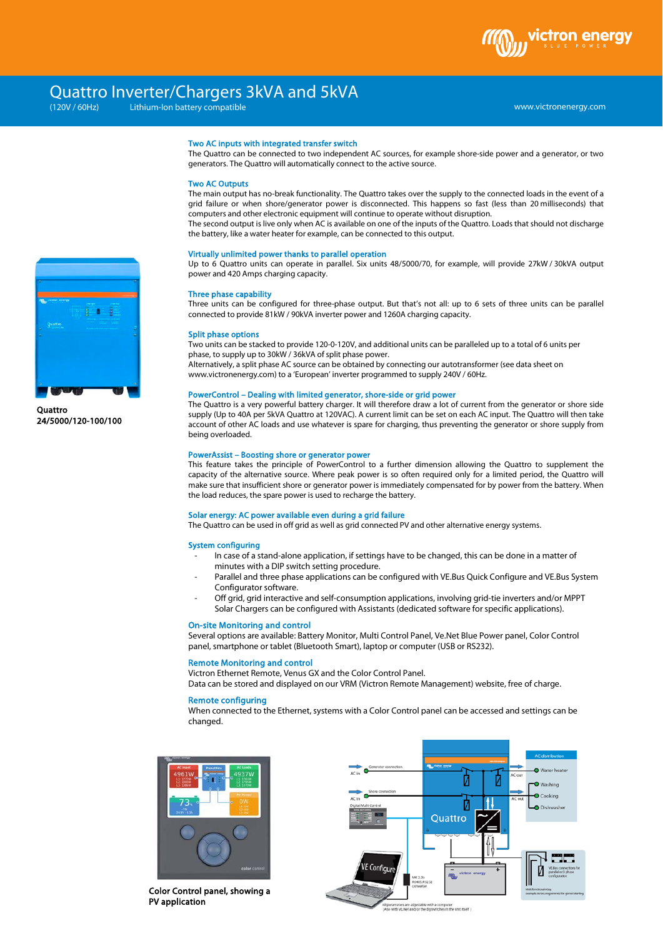## Quattro Inverter/Chargers 3kVA and 5kVA

Lithium-Ion battery compatible

www.victronenergy.com

#### Two AC inputs with integrated transfer switch

The Quattro can be connected to two independent AC sources, for example shore-side power and a generator, or two generators. The Quattro will automatically connect to the active source.

#### Two AC Outputs

The main output has no-break functionality. The Quattro takes over the supply to the connected loads in the event of a grid failure or when shore/generator power is disconnected. This happens so fast (less than 20 milliseconds) that computers and other electronic equipment will continue to operate without disruption.

The second output is live only when AC is available on one of the inputs of the Quattro. Loads that should not discharge the battery, like a water heater for example, can be connected to this output.

#### Virtually unlimited power thanks to parallel operation

Up to 6 Quattro units can operate in parallel. Six units 48/5000/70, for example, will provide 27kW / 30kVA output power and 420 Amps charging capacity.

#### Three phase capability

Three units can be configured for three-phase output. But that's not all: up to 6 sets of three units can be parallel connected to provide 81kW / 90kVA inverter power and 1260A charging capacity.

#### Split phase options

Two units can be stacked to provide 120-0-120V, and additional units can be paralleled up to a total of 6 units per phase, to supply up to 30kW / 36kVA of split phase power.

Alternatively, a split phase AC source can be obtained by connecting our autotransformer (see data sheet on www.victronenergy.com) to a 'European' inverter programmed to supply 240V / 60Hz.

#### PowerControl – Dealing with limited generator, shore-side or grid power

The Quattro is a very powerful battery charger. It will therefore draw a lot of current from the generator or shore side supply (Up to 40A per 5kVA Quattro at 120VAC). A current limit can be set on each AC input. The Quattro will then take account of other AC loads and use whatever is spare for charging, thus preventing the generator or shore supply from being overloaded.

#### PowerAssist – Boosting shore or generator power

This feature takes the principle of PowerControl to a further dimension allowing the Quattro to supplement the capacity of the alternative source. Where peak power is so often required only for a limited period, the Quattro will make sure that insufficient shore or generator power is immediately compensated for by power from the battery. When the load reduces, the spare power is used to recharge the battery.

#### Solar energy: AC power available even during a grid failure

The Quattro can be used in off grid as well as grid connected PV and other alternative energy systems.

#### System configuring

- In case of a stand-alone application, if settings have to be changed, this can be done in a matter of minutes with a DIP switch setting procedure.
- Parallel and three phase applications can be configured with VE.Bus Quick Configure and VE.Bus System Configurator software.
- Off grid, grid interactive and self-consumption applications, involving grid-tie inverters and/or MPPT Solar Chargers can be configured with Assistants (dedicated software for specific applications).

#### On-site Monitoring and control

Several options are available: Battery Monitor, Multi Control Panel, Ve.Net Blue Power panel, Color Control panel, smartphone or tablet (Bluetooth Smart), laptop or computer (USB or RS232).

#### Remote Monitoring and control

Victron Ethernet Remote, Venus GX and the Color Control Panel.

Data can be stored and displayed on our VRM (Victron Remote Management) website, free of charge.

#### Remote configuring

When connected to the Ethernet, systems with a Color Control panel can be accessed and settings can be changed.



Color Control panel, showing a PV application





**Quattro** 24/5000/120-100/100